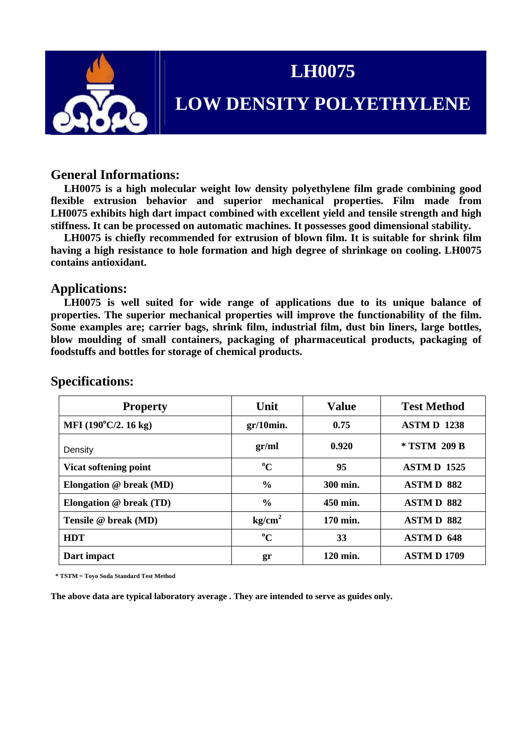

# **LH0075**

## **LOW DENSITY POLYETHYLENE**

#### **General Informations:**

 **LH0075 is a high molecular weight low density polyethylene film grade combining good flexible extrusion behavior and superior mechanical properties. Film made from LH0075 exhibits high dart impact combined with excellent yield and tensile strength and high stiffness. It can be processed on automatic machines. It possesses good dimensional stability.** 

 **LH0075 is chiefly recommended for extrusion of blown film. It is suitable for shrink film having a high resistance to hole formation and high degree of shrinkage on cooling. LH0075 contains antioxidant.** 

#### **Applications:**

 **LH0075 is well suited for wide range of applications due to its unique balance of properties. The superior mechanical properties will improve the functionability of the film. Some examples are; carrier bags, shrink film, industrial film, dust bin liners, large bottles, blow moulding of small containers, packaging of pharmaceutical products, packaging of foodstuffs and bottles for storage of chemical products.** 

| <b>Property</b>                      | Unit               | <b>Value</b> | <b>Test Method</b> |
|--------------------------------------|--------------------|--------------|--------------------|
| MFI $(190^{\circ}C/2.16 \text{ kg})$ | $gr/10$ min.       | 0.75         | <b>ASTMD 1238</b>  |
| Density                              | gr/ml              | 0.920        | * TSTM 209 B       |
| Vicat softening point                | $\rm ^{o}C$        | 95           | <b>ASTMD 1525</b>  |
| Elongation $@$ break (MD)            | $\frac{6}{6}$      | 300 min.     | <b>ASTMD 882</b>   |
| Elongation @ break (TD)              | $\frac{6}{6}$      | 450 min.     | <b>ASTMD 882</b>   |
| Tensile @ break (MD)                 | kg/cm <sup>2</sup> | 170 min.     | <b>ASTMD 882</b>   |
| <b>HDT</b>                           | $\rm ^{o}C$        | 33           | <b>ASTMD 648</b>   |
| Dart impact                          | gr                 | 120 min.     | <b>ASTMD1709</b>   |

#### **Specifications:**

 **\* TSTM = Toyo Soda Standard Test Method** 

**The above data are typical laboratory average . They are intended to serve as guides only.**